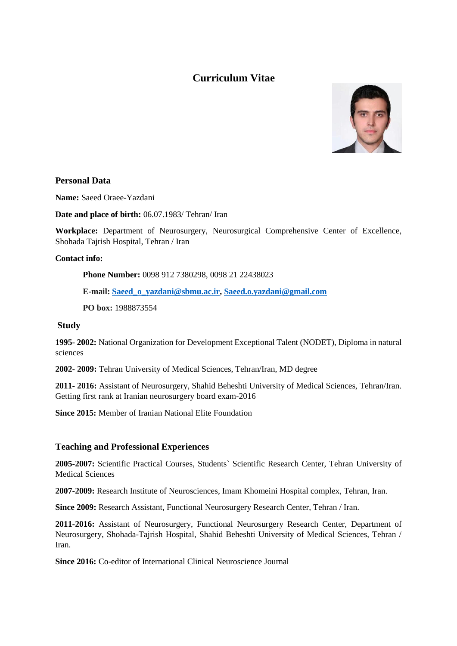# **Curriculum Vitae**



# **Personal Data**

**Name:** Saeed Oraee-Yazdani

**Date and place of birth:** 06.07.1983/ Tehran/ Iran

**Workplace:** Department of Neurosurgery, Neurosurgical Comprehensive Center of Excellence, Shohada Tajrish Hospital, Tehran / Iran

#### **Contact info:**

**Phone Number:** 0098 912 7380298, 0098 21 22438023

**E-mail: [Saeed\\_o\\_yazdani@sbmu.ac.ir,](mailto:Saeed_o_yazdani@sbmu.ac.ir) [Saeed.o.yazdani@gmail.com](mailto:Saeed.o.yazdani@gmail.com)**

**PO box:** 1988873554

#### **Study**

**1995- 2002:** National Organization for Development Exceptional Talent (NODET), Diploma in natural sciences

**2002- 2009:** Tehran University of Medical Sciences, Tehran/Iran, MD degree

**2011- 2016:** Assistant of Neurosurgery, Shahid Beheshti University of Medical Sciences, Tehran/Iran. Getting first rank at Iranian neurosurgery board exam-2016

**Since 2015:** Member of Iranian National Elite Foundation

## **Teaching and Professional Experiences**

**2005-2007:** Scientific Practical Courses, Students` Scientific Research Center, Tehran University of Medical Sciences

**2007-2009:** Research Institute of Neurosciences, Imam Khomeini Hospital complex, Tehran, Iran.

**Since 2009:** Research Assistant, Functional Neurosurgery Research Center, Tehran / Iran.

**2011-2016:** Assistant of Neurosurgery, Functional Neurosurgery Research Center, Department of Neurosurgery, Shohada-Tajrish Hospital, Shahid Beheshti University of Medical Sciences, Tehran / Iran.

**Since 2016:** Co-editor of International Clinical Neuroscience Journal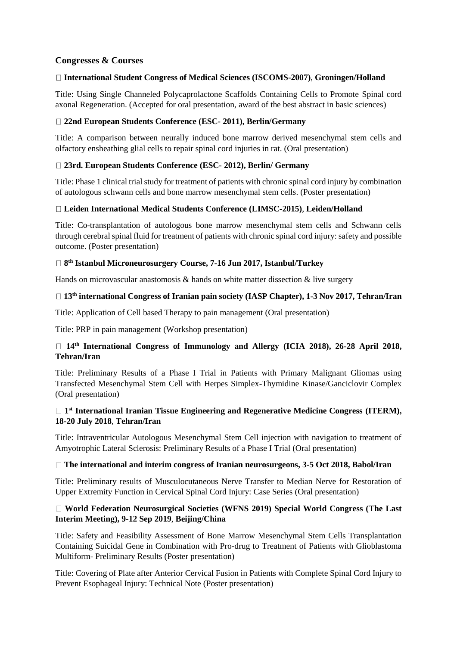## **Congresses & Courses**

## **International Student Congress of Medical Sciences (ISCOMS-2007)**, **Groningen/Holland**

Title: Using Single Channeled Polycaprolactone Scaffolds Containing Cells to Promote Spinal cord axonal Regeneration. (Accepted for oral presentation, award of the best abstract in basic sciences)

#### **22nd European Students Conference (ESC- 2011), Berlin/Germany**

Title: A comparison between neurally induced bone marrow derived mesenchymal stem cells and olfactory ensheathing glial cells to repair spinal cord injuries in rat. (Oral presentation)

#### **23rd. European Students Conference (ESC- 2012), Berlin/ Germany**

Title: Phase 1 clinical trial study for treatment of patients with chronic spinal cord injury by combination of autologous schwann cells and bone marrow mesenchymal stem cells. (Poster presentation)

#### **Leiden International Medical Students Conference (LIMSC-2015)**, **Leiden/Holland**

Title: Co-transplantation of autologous bone marrow mesenchymal stem cells and Schwann cells through cerebral spinal fluid for treatment of patients with chronic spinal cord injury: safety and possible outcome. (Poster presentation)

#### **8 th Istanbul Microneurosurgery Course, 7-16 Jun 2017, Istanbul/Turkey**

Hands on microvascular anastomosis  $\&$  hands on white matter dissection  $\&$  live surgery

#### □ 13<sup>th</sup> **international Congress of Iranian pain society** (IASP Chapter), 1-3 Nov 2017, Tehran/Iran

Title: Application of Cell based Therapy to pain management (Oral presentation)

Title: PRP in pain management (Workshop presentation)

# **14th International Congress of Immunology and Allergy (ICIA 2018), 26-28 April 2018, Tehran/Iran**

Title: Preliminary Results of a Phase I Trial in Patients with Primary Malignant Gliomas using Transfected Mesenchymal Stem Cell with Herpes Simplex-Thymidine Kinase/Ganciclovir Complex (Oral presentation)

#### **1 st International Iranian Tissue Engineering and Regenerative Medicine Congress (ITERM), 18-20 July 2018**, **Tehran/Iran**

Title: Intraventricular Autologous Mesenchymal Stem Cell injection with navigation to treatment of Amyotrophic Lateral Sclerosis: Preliminary Results of a Phase I Trial (Oral presentation)

#### **The international and interim congress of Iranian neurosurgeons, 3-5 Oct 2018, Babol/Iran**

Title: Preliminary results of Musculocutaneous Nerve Transfer to Median Nerve for Restoration of Upper Extremity Function in Cervical Spinal Cord Injury: Case Series (Oral presentation)

#### **World Federation Neurosurgical Societies (WFNS 2019) Special World Congress (The Last Interim Meeting), 9-12 Sep 2019**, **Beijing/China**

Title: Safety and Feasibility Assessment of Bone Marrow Mesenchymal Stem Cells Transplantation Containing Suicidal Gene in Combination with Pro-drug to Treatment of Patients with Glioblastoma Multiform- Preliminary Results (Poster presentation)

Title: Covering of Plate after Anterior Cervical Fusion in Patients with Complete Spinal Cord Injury to Prevent Esophageal Injury: Technical Note (Poster presentation)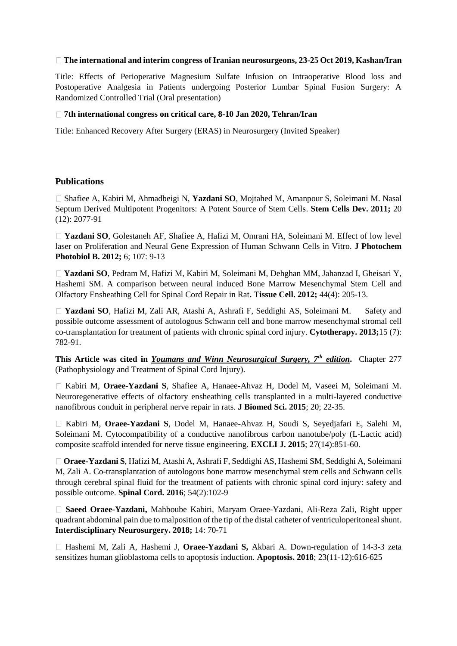#### **The international and interim congress of Iranian neurosurgeons, 23-25 Oct 2019, Kashan/Iran**

Title: Effects of Perioperative Magnesium Sulfate Infusion on Intraoperative Blood loss and Postoperative Analgesia in Patients undergoing Posterior Lumbar Spinal Fusion Surgery: A Randomized Controlled Trial (Oral presentation)

#### **7th international congress on critical care, 8-10 Jan 2020, Tehran/Iran**

Title: Enhanced Recovery After Surgery (ERAS) in Neurosurgery (Invited Speaker)

#### **Publications**

Shafiee A, Kabiri M, Ahmadbeigi N, **Yazdani SO**, Mojtahed M, Amanpour S, Soleimani M. Nasal Septum Derived Multipotent Progenitors: A Potent Source of Stem Cells. **Stem Cells Dev. 2011;** 20 (12): 2077-91

**Yazdani SO**, Golestaneh AF, Shafiee A, Hafizi M, Omrani HA, Soleimani M. Effect of low level laser on Proliferation and Neural Gene Expression of Human Schwann Cells in Vitro. **J Photochem Photobiol B. 2012;** 6; 107: 9-13

**Yazdani SO**, Pedram M, Hafizi M, Kabiri M, Soleimani M, Dehghan MM, Jahanzad I, Gheisari Y, Hashemi SM. A comparison between neural induced Bone Marrow Mesenchymal Stem Cell and Olfactory Ensheathing Cell for Spinal Cord Repair in Rat**. Tissue Cell. 2012;** 44(4): 205-13.

□ Yazdani SO, Hafizi M, Zali AR, Atashi A, Ashrafi F, Seddighi AS, Soleimani M. Safety and possible outcome assessment of autologous Schwann cell and bone marrow mesenchymal stromal cell co-transplantation for treatment of patients with chronic spinal cord injury. **Cytotherapy. 2013;**15 (7): 782-91.

**This Article was cited in** *Youmans and Winn Neurosurgical Surgery, 7th edition***.** Chapter 277 (Pathophysiology and Treatment of Spinal Cord Injury).

Kabiri M, **Oraee-Yazdani S**, Shafiee A, Hanaee-Ahvaz H, Dodel M, Vaseei M, Soleimani M. Neuroregenerative effects of olfactory ensheathing cells transplanted in a multi-layered conductive nanofibrous conduit in peripheral nerve repair in rats. **J Biomed Sci. 2015**; 20; 22-35.

Kabiri M, **Oraee-Yazdani S**, Dodel M, Hanaee-Ahvaz H, Soudi S, Seyedjafari E, Salehi M, Soleimani M. Cytocompatibility of a conductive nanofibrous carbon nanotube/poly (L-Lactic acid) composite scaffold intended for nerve tissue engineering. **EXCLI J. 2015**; 27(14):851-60.

**Oraee-Yazdani S**, Hafizi M, Atashi A, Ashrafi F, Seddighi AS, Hashemi SM, Seddighi A, Soleimani M, Zali A. Co-transplantation of autologous bone marrow mesenchymal stem cells and Schwann cells through cerebral spinal fluid for the treatment of patients with chronic spinal cord injury: safety and possible outcome. **Spinal Cord. 2016**; 54(2):102-9

**Saeed Oraee-Yazdani,** Mahboube Kabiri, Maryam Oraee-Yazdani, Ali-Reza Zali, Right upper quadrant abdominal pain due to malposition of the tip of the distal catheter of ventriculoperitoneal shunt. **Interdisciplinary Neurosurgery. 2018;** 14: 70-71

□ Hashemi M, Zali A, Hashemi J, **Oraee-Yazdani S,** Akbari A. Down-regulation of 14-3-3 zeta sensitizes human glioblastoma cells to apoptosis induction. **Apoptosis. 2018**; 23(11-12):616-625